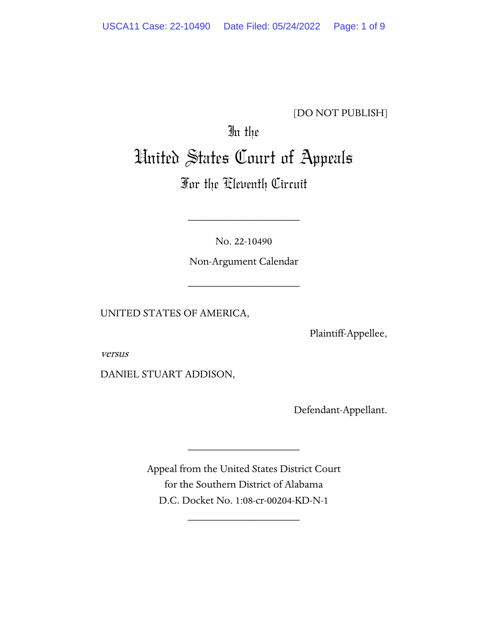# [DO NOT PUBLISH]

# In the United States Court of Appeals

# For the Eleventh Circuit

No. 22-10490

\_\_\_\_\_\_\_\_\_\_\_\_\_\_\_\_\_\_\_\_

Non-Argument Calendar

\_\_\_\_\_\_\_\_\_\_\_\_\_\_\_\_\_\_\_\_

UNITED STATES OF AMERICA,

Plaintiff-Appellee,

versus

DANIEL STUART ADDISON,

Defendant-Appellant.

Appeal from the United States District Court for the Southern District of Alabama D.C. Docket No. 1:08-cr-00204-KD-N-1

\_\_\_\_\_\_\_\_\_\_\_\_\_\_\_\_\_\_\_\_

\_\_\_\_\_\_\_\_\_\_\_\_\_\_\_\_\_\_\_\_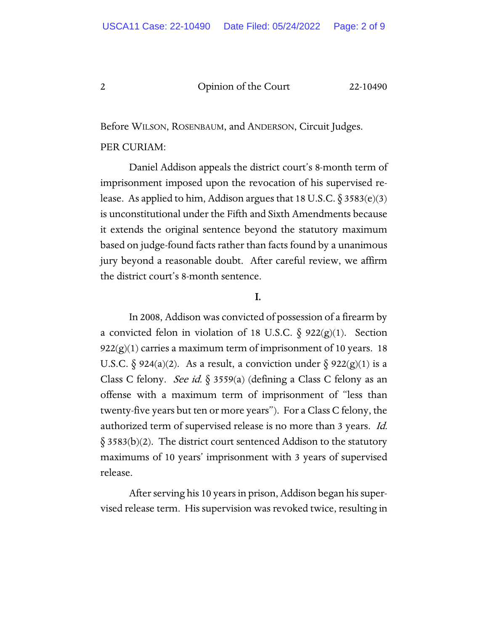Before WILSON, ROSENBAUM, and ANDERSON, Circuit Judges.

## PER CURIAM:

Daniel Addison appeals the district court's 8-month term of imprisonment imposed upon the revocation of his supervised release. As applied to him, Addison argues that 18 U.S.C.  $\S 3583(e)(3)$ is unconstitutional under the Fifth and Sixth Amendments because it extends the original sentence beyond the statutory maximum based on judge-found facts rather than facts found by a unanimous jury beyond a reasonable doubt. After careful review, we affirm the district court's 8-month sentence.

# I.

In 2008, Addison was convicted of possession of a firearm by a convicted felon in violation of 18 U.S.C.  $\delta$  922(g)(1). Section  $922(g)(1)$  carries a maximum term of imprisonment of 10 years. 18 U.S.C.  $\S 924(a)(2)$ . As a result, a conviction under  $\S 922(g)(1)$  is a Class C felony. See id.  $\S$  3559(a) (defining a Class C felony as an offense with a maximum term of imprisonment of "less than twenty-five years but ten or more years"). For a Class C felony, the authorized term of supervised release is no more than 3 years. Id.  $\S 3583(b)(2)$ . The district court sentenced Addison to the statutory maximums of 10 years' imprisonment with 3 years of supervised release.

After serving his 10 years in prison, Addison began his supervised release term. His supervision was revoked twice, resulting in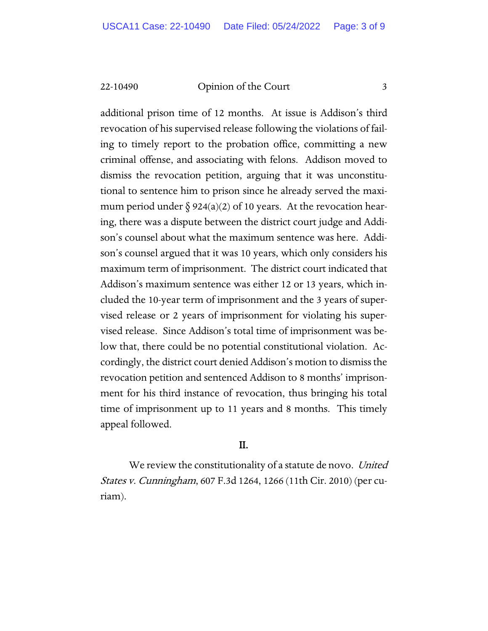additional prison time of 12 months. At issue is Addison's third revocation of his supervised release following the violations of failing to timely report to the probation office, committing a new criminal offense, and associating with felons. Addison moved to dismiss the revocation petition, arguing that it was unconstitutional to sentence him to prison since he already served the maximum period under  $\S 924(a)(2)$  of 10 years. At the revocation hearing, there was a dispute between the district court judge and Addison's counsel about what the maximum sentence was here. Addison's counsel argued that it was 10 years, which only considers his maximum term of imprisonment. The district court indicated that Addison's maximum sentence was either 12 or 13 years, which included the 10-year term of imprisonment and the 3 years of supervised release or 2 years of imprisonment for violating his supervised release. Since Addison's total time of imprisonment was below that, there could be no potential constitutional violation. Accordingly, the district court denied Addison's motion to dismiss the revocation petition and sentenced Addison to 8 months' imprisonment for his third instance of revocation, thus bringing his total time of imprisonment up to 11 years and 8 months. This timely appeal followed.

# II.

We review the constitutionality of a statute de novo. United States v. Cunningham, 607 F.3d 1264, 1266 (11th Cir. 2010) (per curiam).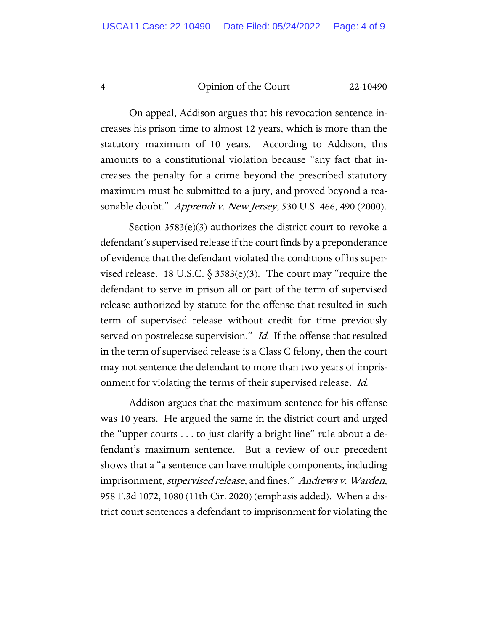On appeal, Addison argues that his revocation sentence increases his prison time to almost 12 years, which is more than the statutory maximum of 10 years. According to Addison, this amounts to a constitutional violation because "any fact that increases the penalty for a crime beyond the prescribed statutory maximum must be submitted to a jury, and proved beyond a reasonable doubt." Apprendi v. New Jersey, 530 U.S. 466, 490 (2000).

Section  $3583(e)(3)$  authorizes the district court to revoke a defendant's supervised release if the court finds by a preponderance of evidence that the defendant violated the conditions of his supervised release. 18 U.S.C.  $\S 3583(e)(3)$ . The court may "require the defendant to serve in prison all or part of the term of supervised release authorized by statute for the offense that resulted in such term of supervised release without credit for time previously served on postrelease supervision." *Id.* If the offense that resulted in the term of supervised release is a Class C felony, then the court may not sentence the defendant to more than two years of imprisonment for violating the terms of their supervised release. Id.

Addison argues that the maximum sentence for his offense was 10 years. He argued the same in the district court and urged the "upper courts . . . to just clarify a bright line" rule about a defendant's maximum sentence. But a review of our precedent shows that a "a sentence can have multiple components, including imprisonment, supervised release, and fines." Andrews v. Warden, 958 F.3d 1072, 1080 (11th Cir. 2020) (emphasis added). When a district court sentences a defendant to imprisonment for violating the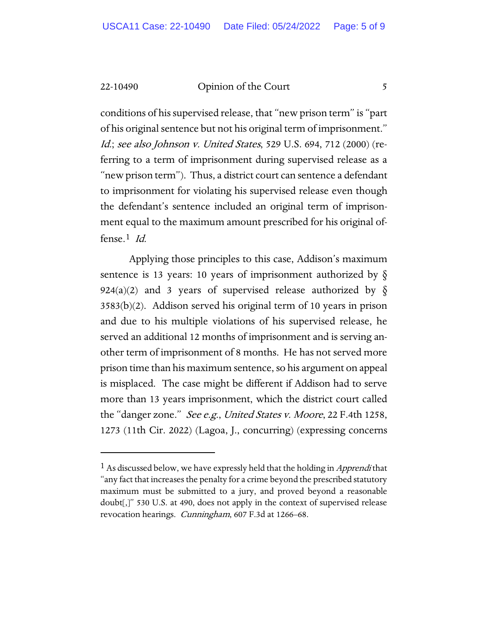conditions of his supervised release, that "new prison term" is "part of his original sentence but not his original term of imprisonment." Id.; see also Johnson v. United States, 529 U.S. 694, 712 (2000) (referring to a term of imprisonment during supervised release as a "new prison term"). Thus, a district court can sentence a defendant to imprisonment for violating his supervised release even though the defendant's sentence included an original term of imprisonment equal to the maximum amount prescribed for his original offense.[1](#page-4-0) Id.

Applying those principles to this case, Addison's maximum sentence is 13 years: 10 years of imprisonment authorized by  $\S$ 924(a)(2) and 3 years of supervised release authorized by  $\S$ 3583(b)(2). Addison served his original term of 10 years in prison and due to his multiple violations of his supervised release, he served an additional 12 months of imprisonment and is serving another term of imprisonment of 8 months. He has not served more prison time than his maximum sentence, so his argument on appeal is misplaced. The case might be different if Addison had to serve more than 13 years imprisonment, which the district court called the "danger zone." See e.g., United States v. Moore, 22 F.4th 1258, 1273 (11th Cir. 2022) (Lagoa, J., concurring) (expressing concerns

<span id="page-4-0"></span><sup>&</sup>lt;sup>1</sup> As discussed below, we have expressly held that the holding in *Apprendi* that "any fact that increases the penalty for a crime beyond the prescribed statutory maximum must be submitted to a jury, and proved beyond a reasonable doubt[,]" 530 U.S. at 490, does not apply in the context of supervised release revocation hearings. *Cunningham*, 607 F.3d at 1266–68.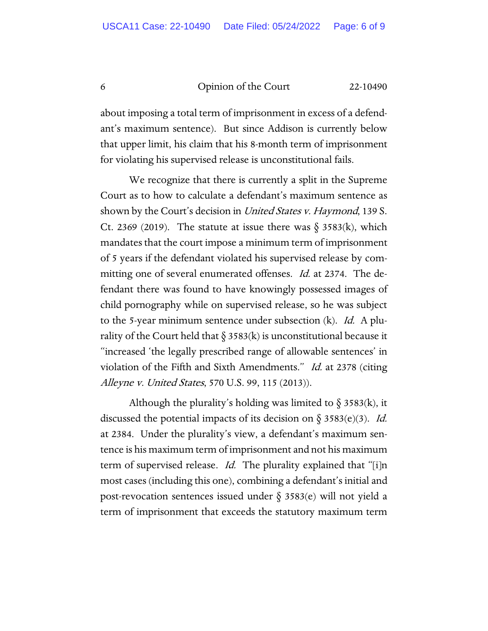about imposing a total term of imprisonment in excess of a defendant's maximum sentence). But since Addison is currently below that upper limit, his claim that his 8-month term of imprisonment for violating his supervised release is unconstitutional fails.

We recognize that there is currently a split in the Supreme Court as to how to calculate a defendant's maximum sentence as shown by the Court's decision in *United States v. Haymond*, 139 S. Ct. 2369 (2019). The statute at issue there was  $\S$  3583(k), which mandates that the court impose a minimum term of imprisonment of 5 years if the defendant violated his supervised release by committing one of several enumerated offenses. *Id.* at 2374. The defendant there was found to have knowingly possessed images of child pornography while on supervised release, so he was subject to the 5-year minimum sentence under subsection (k). *Id.* A plurality of the Court held that  $\S 3583(k)$  is unconstitutional because it "increased 'the legally prescribed range of allowable sentences' in violation of the Fifth and Sixth Amendments." Id. at 2378 (citing Alleyne v. United States, 570 U.S. 99, 115 (2013)).

Although the plurality's holding was limited to  $\S 3583(k)$ , it discussed the potential impacts of its decision on  $\S 3583(e)(3)$ . *Id.* at 2384. Under the plurality's view, a defendant's maximum sentence is his maximum term of imprisonment and not his maximum term of supervised release. *Id.* The plurality explained that "[i]n most cases (including this one), combining a defendant's initial and post-revocation sentences issued under  $\S$  3583(e) will not yield a term of imprisonment that exceeds the statutory maximum term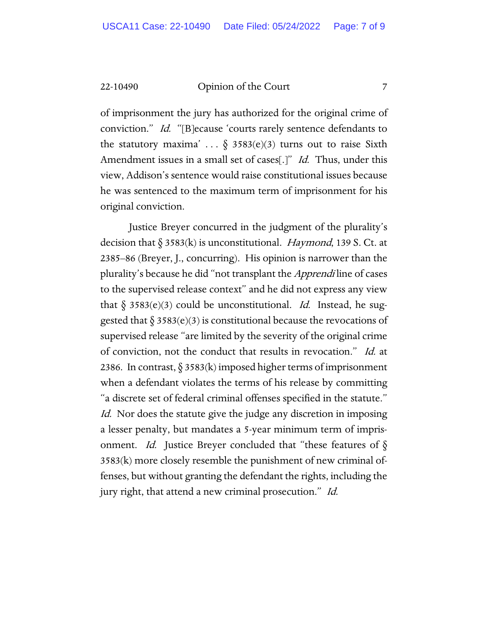of imprisonment the jury has authorized for the original crime of conviction." Id. "[B]ecause 'courts rarely sentence defendants to the statutory maxima' ...  $\delta$  3583(e)(3) turns out to raise Sixth Amendment issues in a small set of cases[.]" Id. Thus, under this view, Addison's sentence would raise constitutional issues because he was sentenced to the maximum term of imprisonment for his original conviction.

Justice Breyer concurred in the judgment of the plurality's decision that  $\S 3583(k)$  is unconstitutional. *Haymond*, 139 S. Ct. at 2385–86 (Breyer, J., concurring). His opinion is narrower than the plurality's because he did "not transplant the *Apprendi* line of cases to the supervised release context" and he did not express any view that  $\S 3583(e)(3)$  could be unconstitutional. Id. Instead, he suggested that  $\S 3583(e)(3)$  is constitutional because the revocations of supervised release "are limited by the severity of the original crime of conviction, not the conduct that results in revocation." Id. at 2386. In contrast,  $\S 3583(k)$  imposed higher terms of imprisonment when a defendant violates the terms of his release by committing "a discrete set of federal criminal offenses specified in the statute." Id. Nor does the statute give the judge any discretion in imposing a lesser penalty, but mandates a 5-year minimum term of imprisonment. *Id.* Justice Breyer concluded that "these features of  $\S$ 3583(k) more closely resemble the punishment of new criminal offenses, but without granting the defendant the rights, including the jury right, that attend a new criminal prosecution." Id.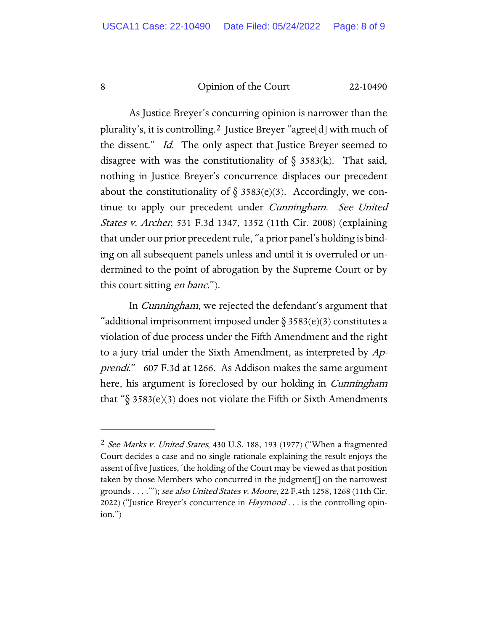As Justice Breyer's concurring opinion is narrower than the plurality's, it is controlling.[2](#page-7-0) Justice Breyer "agree[d] with much of the dissent." *Id.* The only aspect that Justice Breyer seemed to disagree with was the constitutionality of  $\S$  3583(k). That said, nothing in Justice Breyer's concurrence displaces our precedent about the constitutionality of  $\S$  3583(e)(3). Accordingly, we continue to apply our precedent under Cunningham. See United States v. Archer, 531 F.3d 1347, 1352 (11th Cir. 2008) (explaining that under our prior precedent rule, "a prior panel's holding is binding on all subsequent panels unless and until it is overruled or undermined to the point of abrogation by the Supreme Court or by this court sitting *en banc*.").

In Cunningham, we rejected the defendant's argument that "additional imprisonment imposed under  $\S 3583(e)(3)$  constitutes a violation of due process under the Fifth Amendment and the right to a jury trial under the Sixth Amendment, as interpreted by Apprendi." 607 F.3d at 1266. As Addison makes the same argument here, his argument is foreclosed by our holding in *Cunningham* that "§ 3583(e)(3) does not violate the Fifth or Sixth Amendments

<span id="page-7-0"></span><sup>&</sup>lt;sup>2</sup> See Marks v. United States, 430 U.S. 188, 193 (1977) ("When a fragmented Court decides a case and no single rationale explaining the result enjoys the assent of five Justices, 'the holding of the Court may be viewed as that position taken by those Members who concurred in the judgment[] on the narrowest grounds . . . .""); see also United States v. Moore, 22 F.4th 1258, 1268 (11th Cir. 2022) ("Justice Breyer's concurrence in  $\textit{Haymond} \dots$  is the controlling opinion.")